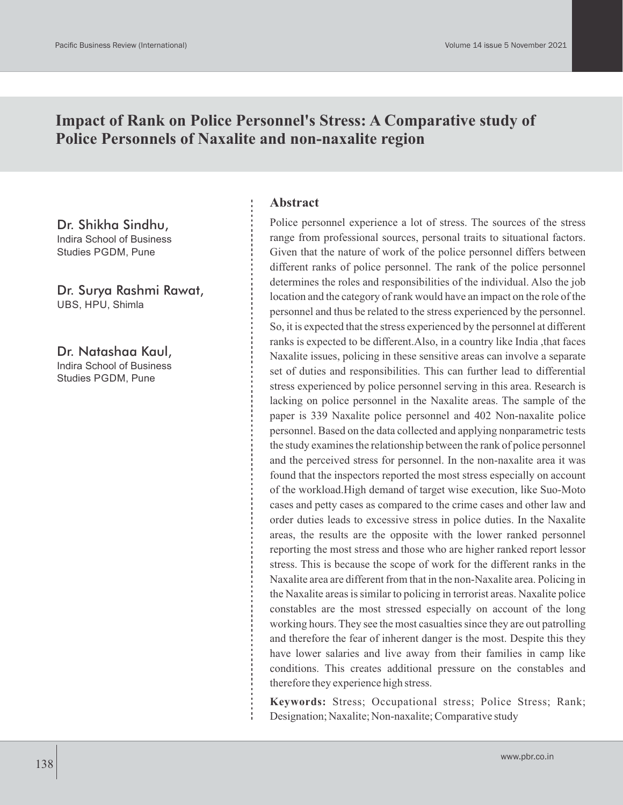# **Impact of Rank on Police Personnel's Stress: A Comparative study of Police Personnels of Naxalite and non-naxalite region**

Dr. Shikha Sindhu, Indira School of Business Studies PGDM, Pune

Dr. Surya Rashmi Rawat, UBS, HPU, Shimla

Dr. Natashaa Kaul, Indira School of Business Studies PGDM, Pune

#### **Abstract**

Police personnel experience a lot of stress. The sources of the stress range from professional sources, personal traits to situational factors. Given that the nature of work of the police personnel differs between different ranks of police personnel. The rank of the police personnel determines the roles and responsibilities of the individual. Also the job location and the category of rank would have an impact on the role of the personnel and thus be related to the stress experienced by the personnel. So, it is expected that the stress experienced by the personnel at different ranks is expected to be different.Also, in a country like India ,that faces Naxalite issues, policing in these sensitive areas can involve a separate set of duties and responsibilities. This can further lead to differential stress experienced by police personnel serving in this area. Research is lacking on police personnel in the Naxalite areas. The sample of the paper is 339 Naxalite police personnel and 402 Non-naxalite police personnel. Based on the data collected and applying nonparametric tests the study examines the relationship between the rank of police personnel and the perceived stress for personnel. In the non-naxalite area it was found that the inspectors reported the most stress especially on account of the workload.High demand of target wise execution, like Suo-Moto cases and petty cases as compared to the crime cases and other law and order duties leads to excessive stress in police duties. In the Naxalite areas, the results are the opposite with the lower ranked personnel reporting the most stress and those who are higher ranked report lessor stress. This is because the scope of work for the different ranks in the Naxalite area are different from that in the non-Naxalite area. Policing in the Naxalite areas is similar to policing in terrorist areas. Naxalite police constables are the most stressed especially on account of the long working hours. They see the most casualties since they are out patrolling and therefore the fear of inherent danger is the most. Despite this they have lower salaries and live away from their families in camp like conditions. This creates additional pressure on the constables and therefore they experience high stress.

**Keywords:** Stress; Occupational stress; Police Stress; Rank; Designation; Naxalite; Non-naxalite; Comparative study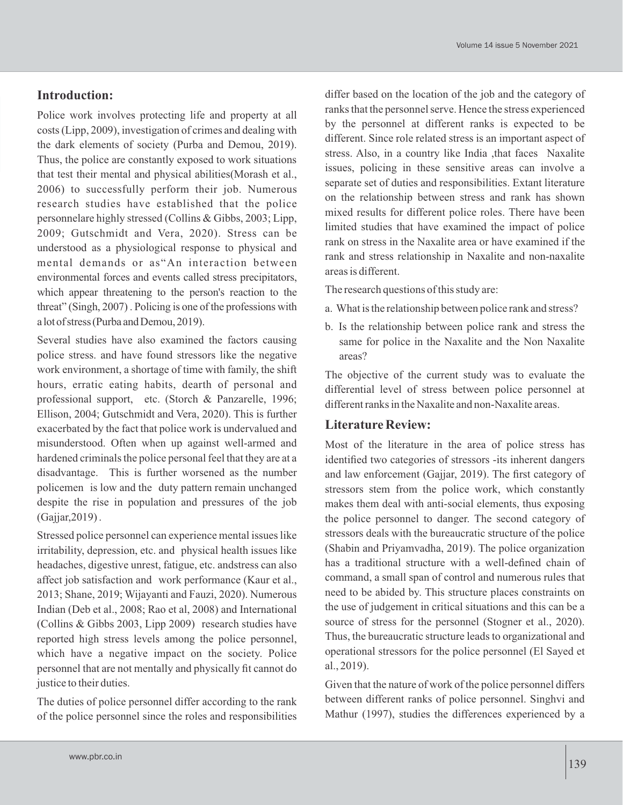### **Introduction:**

Police work involves protecting life and property at all costs (Lipp, 2009), investigation of crimes and dealing with the dark elements of society (Purba and Demou, 2019). Thus, the police are constantly exposed to work situations that test their mental and physical abilities(Morash et al., 2006) to successfully perform their job. Numerous research studies have established that the police personnelare highly stressed (Collins & Gibbs, 2003; Lipp, 2009; Gutschmidt and Vera, 2020). Stress can be understood as a physiological response to physical and mental demands or as"An interaction between environmental forces and events called stress precipitators, which appear threatening to the person's reaction to the threat" (Singh, 2007) . Policing is one of the professions with a lot of stress (Purba and Demou, 2019).

Several studies have also examined the factors causing police stress. and have found stressors like the negative work environment, a shortage of time with family, the shift hours, erratic eating habits, dearth of personal and professional support, etc. (Storch & Panzarelle, 1996; Ellison, 2004; Gutschmidt and Vera, 2020). This is further exacerbated by the fact that police work is undervalued and misunderstood. Often when up against well-armed and hardened criminals the police personal feel that they are at a disadvantage. This is further worsened as the number policemen is low and the duty pattern remain unchanged despite the rise in population and pressures of the job (Gajjar,2019) .

Stressed police personnel can experience mental issues like irritability, depression, etc. and physical health issues like headaches, digestive unrest, fatigue, etc. andstress can also affect job satisfaction and work performance (Kaur et al., 2013; Shane, 2019; Wijayanti and Fauzi, 2020). Numerous Indian (Deb et al., 2008; Rao et al, 2008) and International (Collins & Gibbs 2003, Lipp 2009) research studies have reported high stress levels among the police personnel, which have a negative impact on the society. Police personnel that are not mentally and physically fit cannot do justice to their duties.

The duties of police personnel differ according to the rank of the police personnel since the roles and responsibilities differ based on the location of the job and the category of ranks that the personnel serve. Hence the stress experienced by the personnel at different ranks is expected to be different. Since role related stress is an important aspect of stress. Also, in a country like India ,that faces Naxalite issues, policing in these sensitive areas can involve a separate set of duties and responsibilities. Extant literature on the relationship between stress and rank has shown mixed results for different police roles. There have been limited studies that have examined the impact of police rank on stress in the Naxalite area or have examined if the rank and stress relationship in Naxalite and non-naxalite areas is different.

The research questions of this study are:

- a. What is the relationship between police rank and stress?
- b. Is the relationship between police rank and stress the same for police in the Naxalite and the Non Naxalite areas?

The objective of the current study was to evaluate the differential level of stress between police personnel at different ranks in the Naxalite and non-Naxalite areas.

### **Literature Review:**

Most of the literature in the area of police stress has identified two categories of stressors -its inherent dangers and law enforcement (Gajjar, 2019). The first category of stressors stem from the police work, which constantly makes them deal with anti-social elements, thus exposing the police personnel to danger. The second category of stressors deals with the bureaucratic structure of the police (Shabin and Priyamvadha, 2019). The police organization has a traditional structure with a well-defined chain of command, a small span of control and numerous rules that need to be abided by. This structure places constraints on the use of judgement in critical situations and this can be a source of stress for the personnel (Stogner et al., 2020). Thus, the bureaucratic structure leads to organizational and operational stressors for the police personnel (El Sayed et al., 2019).

Given that the nature of work of the police personnel differs between different ranks of police personnel. Singhvi and Mathur (1997), studies the differences experienced by a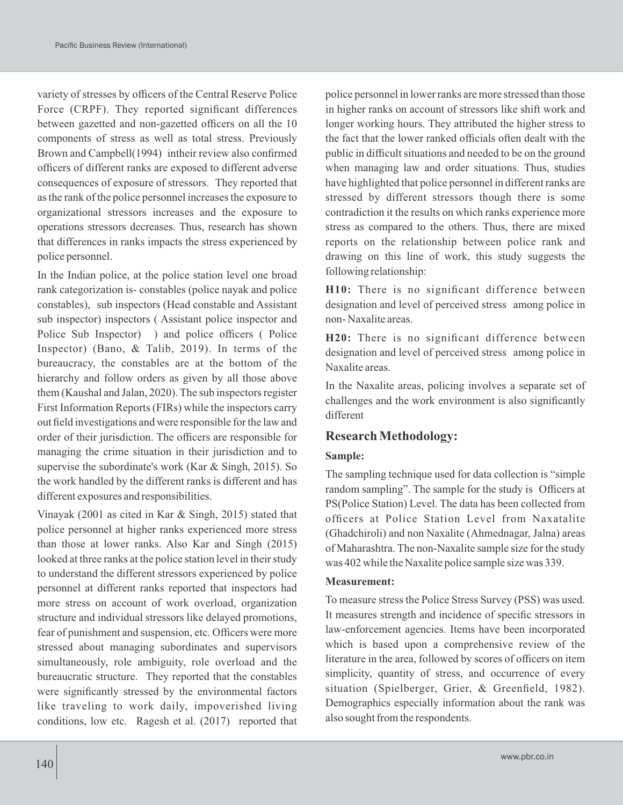variety of stresses by officers of the Central Reserve Police Force (CRPF). They reported significant differences between gazetted and non-gazetted officers on all the 10 components of stress as well as total stress. Previously Brown and Campbell(1994) intheir review also confirmed officers of different ranks are exposed to different adverse consequences of exposure of stressors. They reported that as the rank of the police personnel increases the exposure to organizational stressors increases and the exposure to operations stressors decreases. Thus, research has shown that differences in ranks impacts the stress experienced by police personnel.

In the Indian police, at the police station level one broad rank categorization is- constables (police nayak and police constables), sub inspectors (Head constable and Assistant sub inspector) inspectors ( Assistant police inspector and Police Sub Inspector) ) and police officers ( Police Inspector) (Bano, & Talib, 2019). In terms of the bureaucracy, the constables are at the bottom of the hierarchy and follow orders as given by all those above them (Kaushal and Jalan, 2020). The sub inspectors register First Information Reports (FIRs) while the inspectors carry out field investigations and were responsible for the law and order of their jurisdiction. The officers are responsible for managing the crime situation in their jurisdiction and to supervise the subordinate's work (Kar & Singh, 2015). So the work handled by the different ranks is different and has different exposures and responsibilities.

Vinayak (2001 as cited in Kar & Singh, 2015) stated that police personnel at higher ranks experienced more stress than those at lower ranks. Also Kar and Singh (2015) looked at three ranks at the police station level in their study to understand the different stressors experienced by police personnel at different ranks reported that inspectors had more stress on account of work overload, organization structure and individual stressors like delayed promotions, fear of punishment and suspension, etc. Officers were more stressed about managing subordinates and supervisors simultaneously, role ambiguity, role overload and the bureaucratic structure. They reported that the constables were significantly stressed by the environmental factors like traveling to work daily, impoverished living conditions, low etc. Ragesh et al. (2017) reported that police personnel in lower ranks are more stressed than those in higher ranks on account of stressors like shift work and longer working hours. They attributed the higher stress to the fact that the lower ranked officials often dealt with the public in difficult situations and needed to be on the ground when managing law and order situations. Thus, studies have highlighted that police personnel in different ranks are stressed by different stressors though there is some contradiction it the results on which ranks experience more stress as compared to the others. Thus, there are mixed reports on the relationship between police rank and drawing on this line of work, this study suggests the following relationship:

**H10:** There is no significant difference between designation and level of perceived stress among police in non- Naxalite areas.

**H20:** There is no significant difference between designation and level of perceived stress among police in Naxalite areas.

In the Naxalite areas, policing involves a separate set of challenges and the work environment is also significantly different

#### **Research Methodology:**

#### **Sample:**

The sampling technique used for data collection is "simple random sampling". The sample for the study is Officers at PS(Police Station) Level. The data has been collected from officers at Police Station Level from Naxatalite (Ghadchiroli) and non Naxalite (Ahmednagar, Jalna) areas of Maharashtra. The non-Naxalite sample size for the study was 402 while the Naxalite police sample size was 339.

#### **Measurement:**

To measure stress the Police Stress Survey (PSS) was used. It measures strength and incidence of specific stressors in law-enforcement agencies. Items have been incorporated which is based upon a comprehensive review of the literature in the area, followed by scores of officers on item simplicity, quantity of stress, and occurrence of every situation (Spielberger, Grier, & Greenfield, 1982). Demographics especially information about the rank was also sought from the respondents.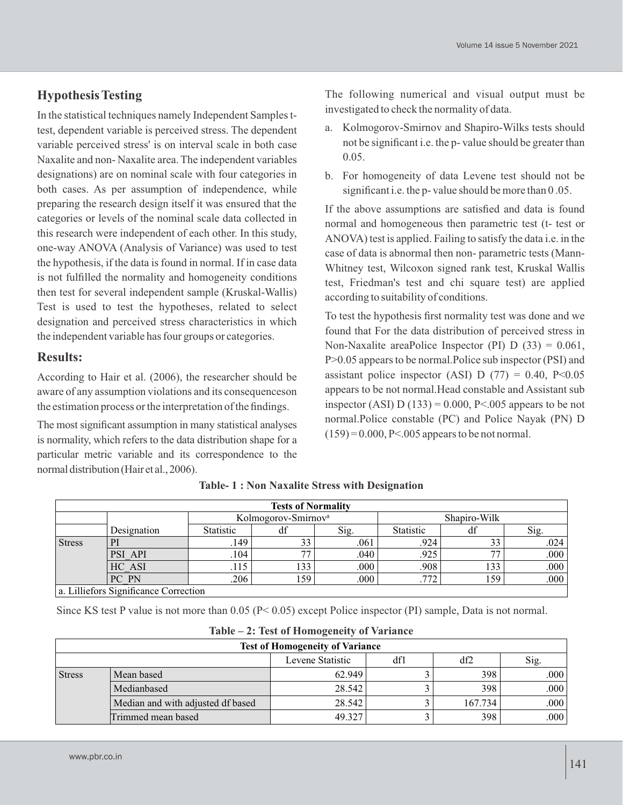## **Hypothesis Testing**

In the statistical techniques namely Independent Samples ttest, dependent variable is perceived stress. The dependent variable perceived stress' is on interval scale in both case Naxalite and non- Naxalite area. The independent variables designations) are on nominal scale with four categories in both cases. As per assumption of independence, while preparing the research design itself it was ensured that the categories or levels of the nominal scale data collected in this research were independent of each other. In this study, one-way ANOVA (Analysis of Variance) was used to test the hypothesis, if the data is found in normal. If in case data is not fulfilled the normality and homogeneity conditions then test for several independent sample (Kruskal-Wallis) Test is used to test the hypotheses, related to select designation and perceived stress characteristics in which the independent variable has four groups or categories.

### **Results:**

According to Hair et al. (2006), the researcher should be aware of any assumption violations and its consequenceson the estimation process or the interpretation of the findings.

The most significant assumption in many statistical analyses is normality, which refers to the data distribution shape for a particular metric variable and its correspondence to the normal distribution (Hair et al., 2006).

The following numerical and visual output must be investigated to check the normality of data.

- a. Kolmogorov-Smirnov and Shapiro-Wilks tests should not be significant i.e. the p- value should be greater than 0.05.
- b. For homogeneity of data Levene test should not be significant i.e. the p- value should be more than 0.05.

If the above assumptions are satisfied and data is found normal and homogeneous then parametric test (t- test or ANOVA) test is applied. Failing to satisfy the data i.e. in the case of data is abnormal then non- parametric tests (Mann-Whitney test, Wilcoxon signed rank test, Kruskal Wallis test, Friedman's test and chi square test) are applied according to suitability of conditions.

To test the hypothesis first normality test was done and we found that For the data distribution of perceived stress in Non-Naxalite areaPolice Inspector (PI)  $D(33) = 0.061$ , P>0.05 appears to be normal.Police sub inspector (PSI) and assistant police inspector (ASI) D (77) =  $0.40$ , P<0.05 appears to be not normal.Head constable and Assistant sub inspector (ASI) D (133) =  $0.000$ , P<.005 appears to be not normal.Police constable (PC) and Police Nayak (PN) D  $(159) = 0.000$ , P<.005 appears to be not normal.

|               | <b>Tests of Normality</b>             |                                 |     |      |                  |     |      |  |
|---------------|---------------------------------------|---------------------------------|-----|------|------------------|-----|------|--|
|               |                                       | Kolmogorov-Smirnov <sup>a</sup> |     |      | Shapiro-Wilk     |     |      |  |
|               | Designation                           | Statistic                       | αı  | Sig. | <b>Statistic</b> |     | Sig. |  |
| <b>Stress</b> | Pl                                    | .149                            | 33  | .061 | .924             | 33  | .024 |  |
|               | PSI API                               | .104                            | 77  | .040 | .925             | 77  | .000 |  |
|               | HC ASI                                | .115                            | 133 | .000 | .908             | 133 | .000 |  |
|               | PC PN                                 | .206                            | 159 | .000 | .772             | 159 | .000 |  |
|               | a. Lilliefors Significance Correction |                                 |     |      |                  |     |      |  |

|  |  |  |  |  |  |  | <b>Table-1: Non Naxalite Stress with Designation</b> |
|--|--|--|--|--|--|--|------------------------------------------------------|
|--|--|--|--|--|--|--|------------------------------------------------------|

Since KS test P value is not more than 0.05 (P< 0.05) except Police inspector (PI) sample, Data is not normal.

|                                        | $1aDE - 2$ ; rest of Homogeneity of variance |        |  |         |      |  |  |  |
|----------------------------------------|----------------------------------------------|--------|--|---------|------|--|--|--|
| <b>Test of Homogeneity of Variance</b> |                                              |        |  |         |      |  |  |  |
| Levene Statistic<br>df2<br>Sig.<br>dfl |                                              |        |  |         |      |  |  |  |
| <b>Stress</b>                          | Mean based                                   | 62.949 |  | 398     | .000 |  |  |  |
|                                        | Medianbased                                  | 28.542 |  | 398     | .000 |  |  |  |
|                                        | Median and with adjusted df based            | 28.542 |  | 167.734 | .000 |  |  |  |
|                                        | Trimmed mean based                           | 49.327 |  | 398     | .000 |  |  |  |

**Table – 2: Test of Homogeneity of Variance**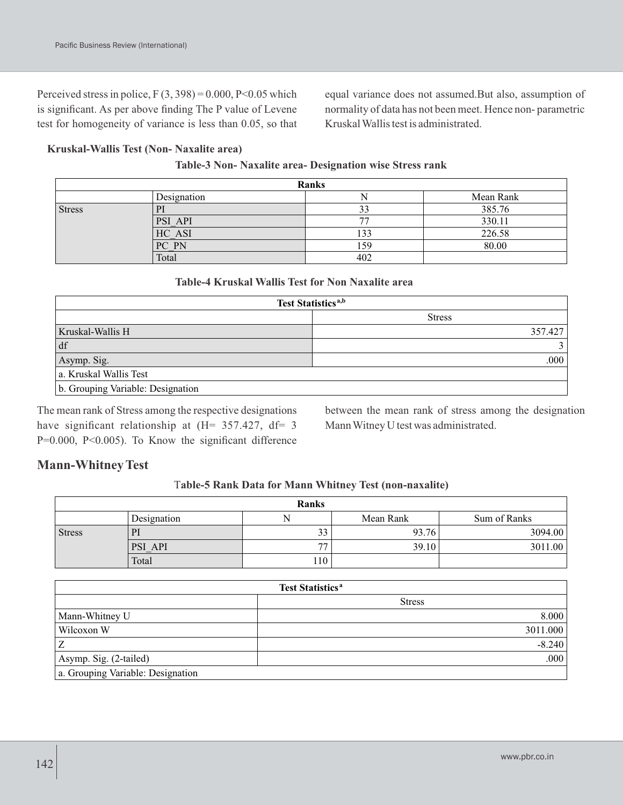Perceived stress in police,  $F(3, 398) = 0.000$ ,  $P<0.05$  which is significant. As per above finding The P value of Levene test for homogeneity of variance is less than 0.05, so that

equal variance does not assumed.But also, assumption of normality of data has not been meet. Hence non- parametric Kruskal Wallis test is administrated.

#### **Kruskal-Wallis Test (Non- Naxalite area)**

| Ranks         |             |                          |           |  |  |  |
|---------------|-------------|--------------------------|-----------|--|--|--|
|               | Designation |                          | Mean Rank |  |  |  |
| <b>Stress</b> |             |                          | 385.76    |  |  |  |
|               | PSI API     | $\overline{\phantom{a}}$ | 330.11    |  |  |  |
|               | HC ASI      | 133                      | 226.58    |  |  |  |
|               | PC PN       | 159                      | 80.00     |  |  |  |
|               | Total       | 402                      |           |  |  |  |

#### **Table-3 Non- Naxalite area- Designation wise Stress rank**

#### **Table-4 Kruskal Wallis Test for Non Naxalite area**

| Test Statistics <sup>a,b</sup>    |               |  |  |  |  |
|-----------------------------------|---------------|--|--|--|--|
|                                   | <b>Stress</b> |  |  |  |  |
| Kruskal-Wallis H                  | 357.427       |  |  |  |  |
| df                                |               |  |  |  |  |
| Asymp. Sig.                       | .000          |  |  |  |  |
| a. Kruskal Wallis Test            |               |  |  |  |  |
| b. Grouping Variable: Designation |               |  |  |  |  |

The mean rank of Stress among the respective designations have significant relationship at (H= 357.427, df= 3 P=0.000, P<0.005). To Know the significant difference

between the mean rank of stress among the designation Mann Witney U test was administrated.

## **Mann-Whitney Test**

#### T**able-5 Rank Data for Mann Whitney Test (non-naxalite)**

| Ranks         |             |     |           |              |  |  |  |  |
|---------------|-------------|-----|-----------|--------------|--|--|--|--|
|               | Designation |     | Mean Rank | Sum of Ranks |  |  |  |  |
| <b>Stress</b> |             | 33  | 93.76     | 3094.00      |  |  |  |  |
|               | PSI API     | 77  | 39.10     | 3011.00      |  |  |  |  |
|               | Total       | 110 |           |              |  |  |  |  |

| <b>Test Statistics<sup>a</sup></b> |               |  |  |  |  |
|------------------------------------|---------------|--|--|--|--|
|                                    | <b>Stress</b> |  |  |  |  |
| Mann-Whitney U                     | 8.000         |  |  |  |  |
| Wilcoxon W                         | 3011.000      |  |  |  |  |
| Z                                  | $-8.240$      |  |  |  |  |
| Asymp. Sig. (2-tailed)             | .000          |  |  |  |  |
| a. Grouping Variable: Designation  |               |  |  |  |  |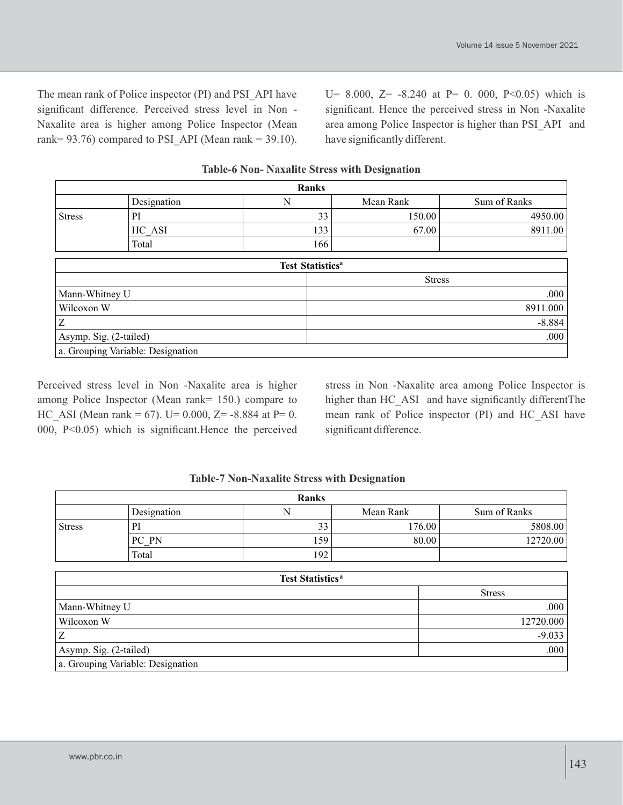The mean rank of Police inspector (PI) and PSI\_API have significant difference. Perceived stress level in Non - Naxalite area is higher among Police Inspector (Mean rank=  $93.76$ ) compared to PSI API (Mean rank = 39.10).

U= 8.000, Z=  $-8.240$  at P= 0. 000, P<0.05) which is significant. Hence the perceived stress in Non -Naxalite area among Police Inspector is higher than PSI\_API and have significantly different.

| <b>Ranks</b>  |             |                                            |           |              |  |  |  |
|---------------|-------------|--------------------------------------------|-----------|--------------|--|--|--|
|               | Designation |                                            | Mean Rank | Sum of Ranks |  |  |  |
| <b>Stress</b> | PI          | 33                                         | 150.00    | 4950.00      |  |  |  |
|               | HC ASI      | 133                                        | 67.00     | 8911.00      |  |  |  |
|               | Total       | 166                                        |           |              |  |  |  |
|               |             |                                            |           |              |  |  |  |
|               |             | $\mathbf{m}$ , $\mathbf{m}$ , $\mathbf{m}$ |           |              |  |  |  |

#### **Table-6 Non- Naxalite Stress with Designation**

| <b>Test Statistics<sup>a</sup></b> |               |  |  |  |  |
|------------------------------------|---------------|--|--|--|--|
|                                    | <b>Stress</b> |  |  |  |  |
| Mann-Whitney U                     | .000          |  |  |  |  |
| Wilcoxon W                         | 8911.000      |  |  |  |  |
| Ζ                                  | $-8.884$      |  |  |  |  |
| Asymp. Sig. (2-tailed)             | .000          |  |  |  |  |
| a. Grouping Variable: Designation  |               |  |  |  |  |

Perceived stress level in Non -Naxalite area is higher among Police Inspector (Mean rank= 150.) compare to HC\_ASI (Mean rank = 67). U= 0.000, Z= -8.884 at P= 0. 000, P<0.05) which is significant.Hence the perceived

stress in Non -Naxalite area among Police Inspector is higher than HC\_ASI and have significantly differentThe mean rank of Police inspector (PI) and HC\_ASI have significant difference.

#### **Table-7 Non-Naxalite Stress with Designation**

| <b>Ranks</b>  |             |     |           |              |  |  |  |  |
|---------------|-------------|-----|-----------|--------------|--|--|--|--|
|               | Designation | N   | Mean Rank | Sum of Ranks |  |  |  |  |
| <b>Stress</b> | PI          | 33  | 176.00    | 5808.00      |  |  |  |  |
|               | PC PN       | 159 | 80.00     | 12720.00     |  |  |  |  |
|               | Total       | 192 |           |              |  |  |  |  |

| <b>Test Statistics<sup>a</sup></b> |               |  |  |  |
|------------------------------------|---------------|--|--|--|
|                                    | <b>Stress</b> |  |  |  |
| Mann-Whitney U                     | .000          |  |  |  |
| Wilcoxon W                         | 12720.000     |  |  |  |
| Ζ                                  | $-9.033$      |  |  |  |
| Asymp. Sig. (2-tailed)             | .000          |  |  |  |
| a. Grouping Variable: Designation  |               |  |  |  |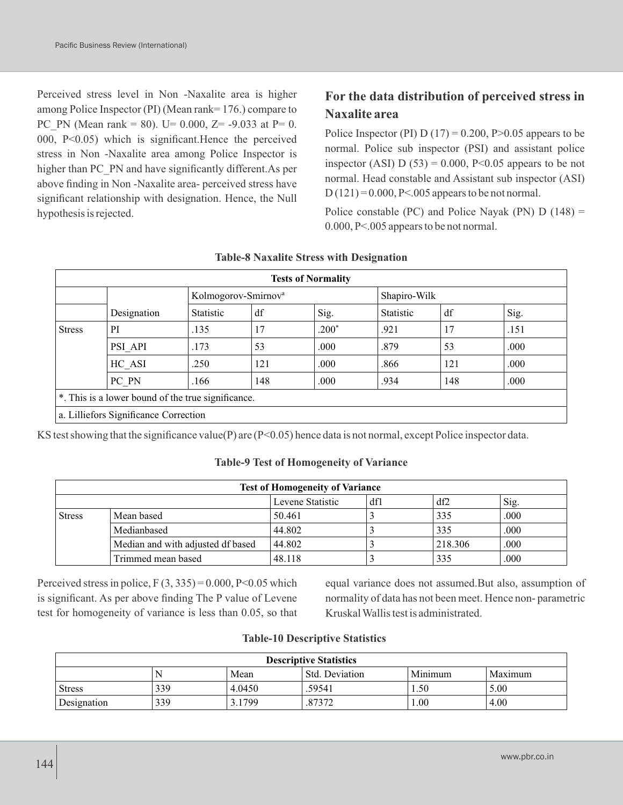Perceived stress level in Non -Naxalite area is higher among Police Inspector (PI) (Mean rank= 176.) compare to PC\_PN (Mean rank = 80). U= 0.000, Z= -9.033 at P= 0. 000, P<0.05) which is significant.Hence the perceived stress in Non -Naxalite area among Police Inspector is higher than PC\_PN and have significantly different.As per above finding in Non -Naxalite area- perceived stress have significant relationship with designation. Hence, the Null hypothesis is rejected.

## **For the data distribution of perceived stress in Naxalite area**

Police Inspector (PI)  $D(17) = 0.200$ , P $> 0.05$  appears to be normal. Police sub inspector (PSI) and assistant police inspector (ASI) D (53) = 0.000, P<0.05 appears to be not normal. Head constable and Assistant sub inspector (ASI)  $D(121) = 0.000$ , P<.005 appears to be not normal.

Police constable (PC) and Police Nayak (PN)  $D(148) =$ 0.000, P<.005 appears to be not normal.

| <b>Tests of Normality</b>                          |                                       |                                 |     |         |              |     |       |  |
|----------------------------------------------------|---------------------------------------|---------------------------------|-----|---------|--------------|-----|-------|--|
|                                                    |                                       | Kolmogorov-Smirnov <sup>a</sup> |     |         | Shapiro-Wilk |     |       |  |
|                                                    | Designation                           | Statistic                       | df  | Sig.    | Statistic    | df  | Sig.  |  |
| <b>Stress</b>                                      | PI                                    | .135                            | 17  | $.200*$ | .921         | 17  | .151  |  |
|                                                    | PSI API                               | .173                            | 53  | .000.   | .879         | 53  | .000. |  |
|                                                    | HC ASI                                | .250                            | 121 | .000.   | .866         | 121 | .000  |  |
|                                                    | PC PN                                 | .166                            | 148 | .000    | .934         | 148 | .000  |  |
| *. This is a lower bound of the true significance. |                                       |                                 |     |         |              |     |       |  |
|                                                    | a. Lilliefors Significance Correction |                                 |     |         |              |     |       |  |

#### **Table-8 Naxalite Stress with Designation**

KS test showing that the significance value(P) are (P<0.05) hence data is not normal, except Police inspector data.

#### **Table-9 Test of Homogeneity of Variance**

| <b>Test of Homogeneity of Variance</b> |                                   |        |  |         |      |  |  |
|----------------------------------------|-----------------------------------|--------|--|---------|------|--|--|
| df2<br>Levene Statistic<br>df1<br>Sig. |                                   |        |  |         |      |  |  |
| <b>Stress</b>                          | Mean based                        | 50.461 |  | 335     | .000 |  |  |
|                                        | Medianbased                       | 44.802 |  | 335     | .000 |  |  |
|                                        | Median and with adjusted df based | 44.802 |  | 218.306 | .000 |  |  |
|                                        | Trimmed mean based                | 48.118 |  | 335     | .000 |  |  |

Perceived stress in police,  $F(3, 335) = 0.000$ ,  $P<0.05$  which is significant. As per above finding The P value of Levene test for homogeneity of variance is less than 0.05, so that equal variance does not assumed.But also, assumption of normality of data has not been meet. Hence non- parametric Kruskal Wallis test is administrated.

|  | <b>Table-10 Descriptive Statistics</b> |  |
|--|----------------------------------------|--|
|--|----------------------------------------|--|

| <b>Descriptive Statistics</b> |                                              |        |        |      |      |  |  |
|-------------------------------|----------------------------------------------|--------|--------|------|------|--|--|
|                               | Minimum<br>Std. Deviation<br>Maximum<br>Mean |        |        |      |      |  |  |
| <b>Stress</b>                 | 339                                          | 4.0450 | .59541 | 1.50 | 5.00 |  |  |
| Designation                   | 339                                          | 3.1799 | .87372 | 00.1 | 4.00 |  |  |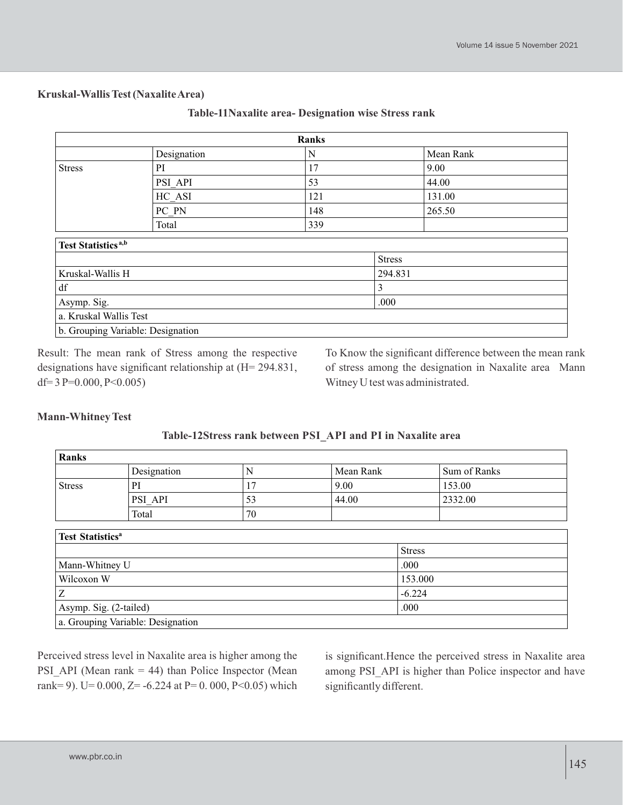#### **Kruskal-Wallis Test (Naxalite Area)**

| Ranks                             |             |     |               |           |  |
|-----------------------------------|-------------|-----|---------------|-----------|--|
|                                   | Designation | N   |               | Mean Rank |  |
| <b>Stress</b>                     | PI          | 17  |               | 9.00      |  |
|                                   | PSI API     | 53  |               | 44.00     |  |
|                                   | HC ASI      | 121 |               | 131.00    |  |
|                                   | PC PN       | 148 |               | 265.50    |  |
|                                   | Total       | 339 |               |           |  |
| Test Statistics <sup>a,b</sup>    |             |     |               |           |  |
|                                   |             |     | <b>Stress</b> |           |  |
| Kruskal-Wallis H                  |             |     | 294.831       |           |  |
| $\mathrm{d}\mathbf{f}$            |             |     | 3             |           |  |
| Asymp. Sig.                       |             |     | .000          |           |  |
| a. Kruskal Wallis Test            |             |     |               |           |  |
| b. Grouping Variable: Designation |             |     |               |           |  |

Result: The mean rank of Stress among the respective designations have significant relationship at (H= 294.831, df= 3 P=0.000, P<0.005)

To Know the significant difference between the mean rank of stress among the designation in Naxalite area Mann Witney U test was administrated.

#### **Mann-Whitney Test**

#### **Table-12Stress rank between PSI\_API and PI in Naxalite area**

| Ranks         |             |    |           |              |  |  |
|---------------|-------------|----|-----------|--------------|--|--|
|               | Designation |    | Mean Rank | Sum of Ranks |  |  |
| <b>Stress</b> |             |    | 9.00      | 153.00       |  |  |
|               | PSI API     | 53 | 44.00     | 2332.00      |  |  |
|               | Total       | 70 |           |              |  |  |

| <b>Test Statistics<sup>a</sup></b> |               |  |  |  |
|------------------------------------|---------------|--|--|--|
|                                    | <b>Stress</b> |  |  |  |
| Mann-Whitney U                     | .000          |  |  |  |
| Wilcoxon W                         | 153.000       |  |  |  |
| Ζ                                  | $-6.224$      |  |  |  |
| Asymp. Sig. (2-tailed)             | .000          |  |  |  |
| a. Grouping Variable: Designation  |               |  |  |  |

Perceived stress level in Naxalite area is higher among the PSI API (Mean rank  $= 44$ ) than Police Inspector (Mean rank= 9). U=  $0.000$ , Z= -6.224 at P= 0.000, P<0.05) which

is significant.Hence the perceived stress in Naxalite area among PSI\_API is higher than Police inspector and have significantly different.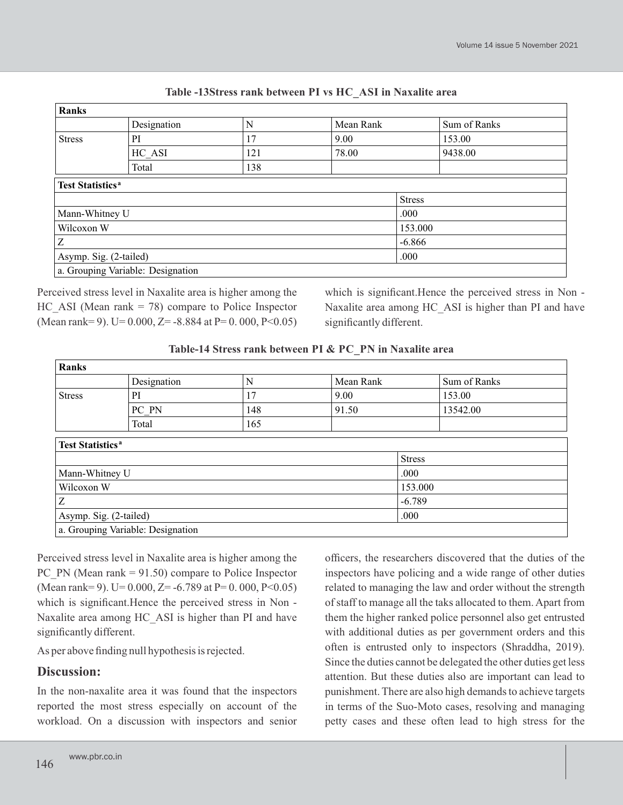| <b>Ranks</b>                       |                                   |     |               |         |              |
|------------------------------------|-----------------------------------|-----|---------------|---------|--------------|
|                                    | Designation                       | N   | Mean Rank     |         | Sum of Ranks |
| <b>Stress</b>                      | PI                                | 17  | 9.00          |         | 153.00       |
|                                    | HC ASI                            | 121 | 78.00         |         | 9438.00      |
|                                    | Total                             | 138 |               |         |              |
| <b>Test Statistics<sup>a</sup></b> |                                   |     |               |         |              |
|                                    |                                   |     | <b>Stress</b> |         |              |
| Mann-Whitney U                     |                                   |     |               | .000    |              |
| Wilcoxon W                         |                                   |     |               | 153.000 |              |
| Z                                  |                                   |     | $-6.866$      |         |              |
| Asymp. Sig. (2-tailed)             |                                   |     | .000          |         |              |
|                                    | a. Grouping Variable: Designation |     |               |         |              |

#### **Table -13Stress rank between PI vs HC\_ASI in Naxalite area**

Perceived stress level in Naxalite area is higher among the  $HC$  ASI (Mean rank = 78) compare to Police Inspector (Mean rank= 9). U=  $0.000$ , Z=  $-8.884$  at P= 0. 000, P<0.05)

which is significant.Hence the perceived stress in Non - Naxalite area among HC\_ASI is higher than PI and have significantly different.

**Table-14 Stress rank between PI & PC\_PN in Naxalite area**

| Ranks                              |                                   |     |               |          |              |
|------------------------------------|-----------------------------------|-----|---------------|----------|--------------|
|                                    | Designation                       | N   | Mean Rank     |          | Sum of Ranks |
| <b>Stress</b>                      | PI                                | 17  | 9.00          |          | 153.00       |
|                                    | PC PN                             | 148 | 91.50         |          | 13542.00     |
|                                    | Total                             | 165 |               |          |              |
| <b>Test Statistics<sup>a</sup></b> |                                   |     |               |          |              |
|                                    |                                   |     | <b>Stress</b> |          |              |
| Mann-Whitney U                     |                                   |     | .000          |          |              |
| Wilcoxon W                         |                                   |     | 153.000       |          |              |
| Ζ                                  |                                   |     |               | $-6.789$ |              |
| Asymp. Sig. (2-tailed)             |                                   |     | .000          |          |              |
|                                    | a. Grouping Variable: Designation |     |               |          |              |

Perceived stress level in Naxalite area is higher among the PC PN (Mean rank  $= 91.50$ ) compare to Police Inspector (Mean rank= 9). U=  $0.000$ , Z=  $-6.789$  at P=  $0.000$ , P<0.05) which is significant.Hence the perceived stress in Non - Naxalite area among HC\_ASI is higher than PI and have significantly different.

As per above finding null hypothesis is rejected.

## **Discussion:**

In the non-naxalite area it was found that the inspectors reported the most stress especially on account of the workload. On a discussion with inspectors and senior

officers, the researchers discovered that the duties of the inspectors have policing and a wide range of other duties related to managing the law and order without the strength of staff to manage all the taks allocated to them. Apart from them the higher ranked police personnel also get entrusted with additional duties as per government orders and this often is entrusted only to inspectors (Shraddha, 2019). Since the duties cannot be delegated the other duties get less attention. But these duties also are important can lead to punishment. There are also high demands to achieve targets in terms of the Suo-Moto cases, resolving and managing petty cases and these often lead to high stress for the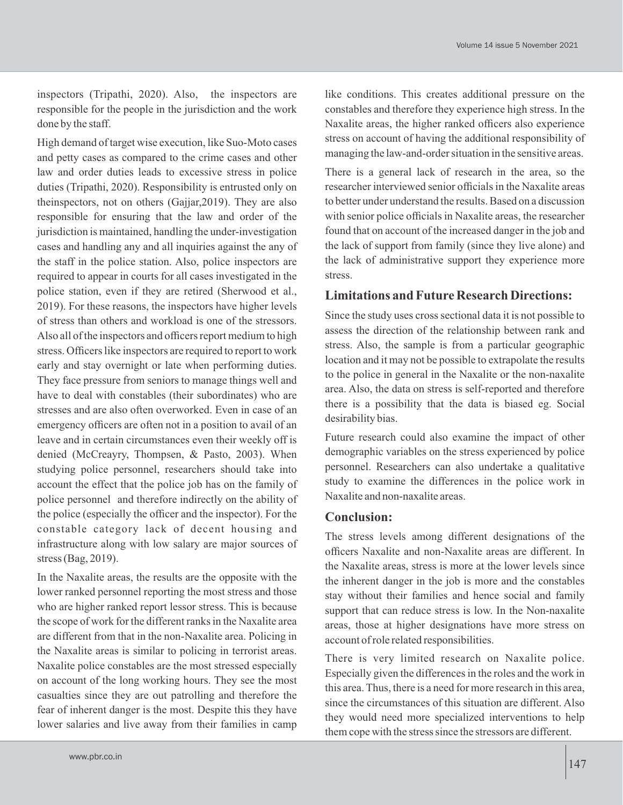inspectors (Tripathi, 2020). Also, the inspectors are responsible for the people in the jurisdiction and the work done by the staff.

High demand of target wise execution, like Suo-Moto cases and petty cases as compared to the crime cases and other law and order duties leads to excessive stress in police duties (Tripathi, 2020). Responsibility is entrusted only on theinspectors, not on others (Gajjar,2019). They are also responsible for ensuring that the law and order of the jurisdiction is maintained, handling the under-investigation cases and handling any and all inquiries against the any of the staff in the police station. Also, police inspectors are required to appear in courts for all cases investigated in the police station, even if they are retired (Sherwood et al., 2019). For these reasons, the inspectors have higher levels of stress than others and workload is one of the stressors. Also all of the inspectors and officers report medium to high stress. Officers like inspectors are required to report to work early and stay overnight or late when performing duties. They face pressure from seniors to manage things well and have to deal with constables (their subordinates) who are stresses and are also often overworked. Even in case of an emergency officers are often not in a position to avail of an leave and in certain circumstances even their weekly off is denied (McCreayry, Thompsen, & Pasto, 2003). When studying police personnel, researchers should take into account the effect that the police job has on the family of police personnel and therefore indirectly on the ability of the police (especially the officer and the inspector). For the constable category lack of decent housing and infrastructure along with low salary are major sources of stress (Bag, 2019).

In the Naxalite areas, the results are the opposite with the lower ranked personnel reporting the most stress and those who are higher ranked report lessor stress. This is because the scope of work for the different ranks in the Naxalite area are different from that in the non-Naxalite area. Policing in the Naxalite areas is similar to policing in terrorist areas. Naxalite police constables are the most stressed especially on account of the long working hours. They see the most casualties since they are out patrolling and therefore the fear of inherent danger is the most. Despite this they have lower salaries and live away from their families in camp like conditions. This creates additional pressure on the constables and therefore they experience high stress. In the Naxalite areas, the higher ranked officers also experience stress on account of having the additional responsibility of managing the law-and-order situation in the sensitive areas.

There is a general lack of research in the area, so the researcher interviewed senior officials in the Naxalite areas to better under understand the results. Based on a discussion with senior police officials in Naxalite areas, the researcher found that on account of the increased danger in the job and the lack of support from family (since they live alone) and the lack of administrative support they experience more stress.

# **Limitations and Future Research Directions:**

Since the study uses cross sectional data it is not possible to assess the direction of the relationship between rank and stress. Also, the sample is from a particular geographic location and it may not be possible to extrapolate the results to the police in general in the Naxalite or the non-naxalite area. Also, the data on stress is self-reported and therefore there is a possibility that the data is biased eg. Social desirability bias.

Future research could also examine the impact of other demographic variables on the stress experienced by police personnel. Researchers can also undertake a qualitative study to examine the differences in the police work in Naxalite and non-naxalite areas.

## **Conclusion:**

The stress levels among different designations of the officers Naxalite and non-Naxalite areas are different. In the Naxalite areas, stress is more at the lower levels since the inherent danger in the job is more and the constables stay without their families and hence social and family support that can reduce stress is low. In the Non-naxalite areas, those at higher designations have more stress on account of role related responsibilities.

There is very limited research on Naxalite police. Especially given the differences in the roles and the work in this area. Thus, there is a need for more research in this area, since the circumstances of this situation are different. Also they would need more specialized interventions to help them cope with the stress since the stressors are different.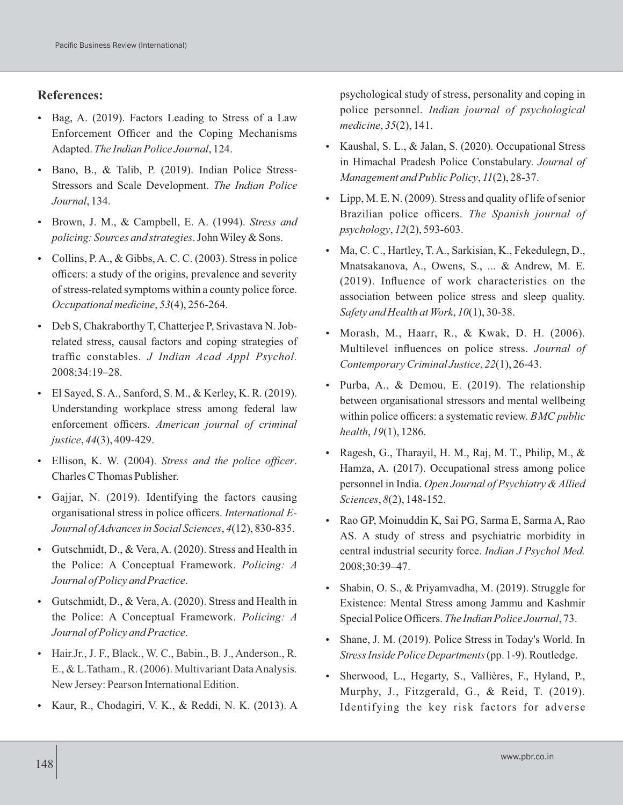#### **References:**

- Bag, A. (2019). Factors Leading to Stress of a Law Enforcement Officer and the Coping Mechanisms Adapted. *The Indian Police Journal*, 124.
- Bano, B., & Talib, P. (2019). Indian Police Stress-Stressors and Scale Development. *The Indian Police Journal*, 134.
- Brown, J. M., & Campbell, E. A. (1994). *Stress and policing: Sources and strategies*. John Wiley & Sons.
- Collins, P. A., & Gibbs, A. C. C. (2003). Stress in police officers: a study of the origins, prevalence and severity of stress-related symptoms within a county police force. *Occupational medicine*, *53*(4), 256-264.
- Deb S, Chakraborthy T, Chatterjee P, Srivastava N. Jobrelated stress, causal factors and coping strategies of traffic constables. *J Indian Acad Appl Psychol.*  2008;34:19–28.
- El Sayed, S. A., Sanford, S. M., & Kerley, K. R. (2019). Understanding workplace stress among federal law enforcement officers. *American journal of criminal justice*, *44*(3), 409-429.
- Ellison, K. W. (2004). *Stress and the police officer*. Charles C Thomas Publisher.
- Gajjar, N. (2019). Identifying the factors causing organisational stress in police officers. *International E-Journal of Advances in Social Sciences*, *4*(12), 830-835.
- Gutschmidt, D., & Vera, A. (2020). Stress and Health in the Police: A Conceptual Framework. *Policing: A Journal of Policy and Practice*.
- Gutschmidt, D., & Vera, A. (2020). Stress and Health in the Police: A Conceptual Framework. *Policing: A Journal of Policy and Practice*.
- Hair.Jr., J. F., Black., W. C., Babin., B. J., Anderson., R. E., & L.Tatham., R. (2006). Multivariant Data Analysis. New Jersey: Pearson International Edition.
- Kaur, R., Chodagiri, V. K., & Reddi, N. K. (2013). A

psychological study of stress, personality and coping in police personnel. *Indian journal of psychological medicine*, *35*(2), 141.

- Kaushal, S. L., & Jalan, S. (2020). Occupational Stress in Himachal Pradesh Police Constabulary. *Journal of Management and Public Policy*, *11*(2), 28-37.
- $\bullet$  Lipp, M. E. N. (2009). Stress and quality of life of senior Brazilian police officers. *The Spanish journal of psychology*, *12*(2), 593-603.
- Ma, C. C., Hartley, T. A., Sarkisian, K., Fekedulegn, D., Mnatsakanova, A., Owens, S., ... & Andrew, M. E. (2019). Influence of work characteristics on the association between police stress and sleep quality. *Safety and Health at Work*, *10*(1), 30-38.
- Morash, M., Haarr, R., & Kwak, D. H. (2006). Multilevel influences on police stress. *Journal of Contemporary Criminal Justice*, *22*(1), 26-43.
- Purba, A., & Demou, E. (2019). The relationship between organisational stressors and mental wellbeing within police officers: a systematic review. *BMC public health*, *19*(1), 1286.
- Ragesh, G., Tharayil, H. M., Raj, M. T., Philip, M., & Hamza, A. (2017). Occupational stress among police personnel in India. *Open Journal of Psychiatry & Allied Sciences*, *8*(2), 148-152.
- Rao GP, Moinuddin K, Sai PG, Sarma E, Sarma A, Rao AS. A study of stress and psychiatric morbidity in central industrial security force. *Indian J Psychol Med.*  2008;30:39–47.
- Shabin, O. S., & Priyamvadha, M. (2019). Struggle for Existence: Mental Stress among Jammu and Kashmir Special Police Officers. *The Indian Police Journal*, 73.
- Shane, J. M. (2019). Police Stress in Today's World. In *Stress Inside Police Departments*(pp. 1-9). Routledge.
- Sherwood, L., Hegarty, S., Vallières, F., Hyland, P., Murphy, J., Fitzgerald, G., & Reid, T. (2019). Identifying the key risk factors for adverse